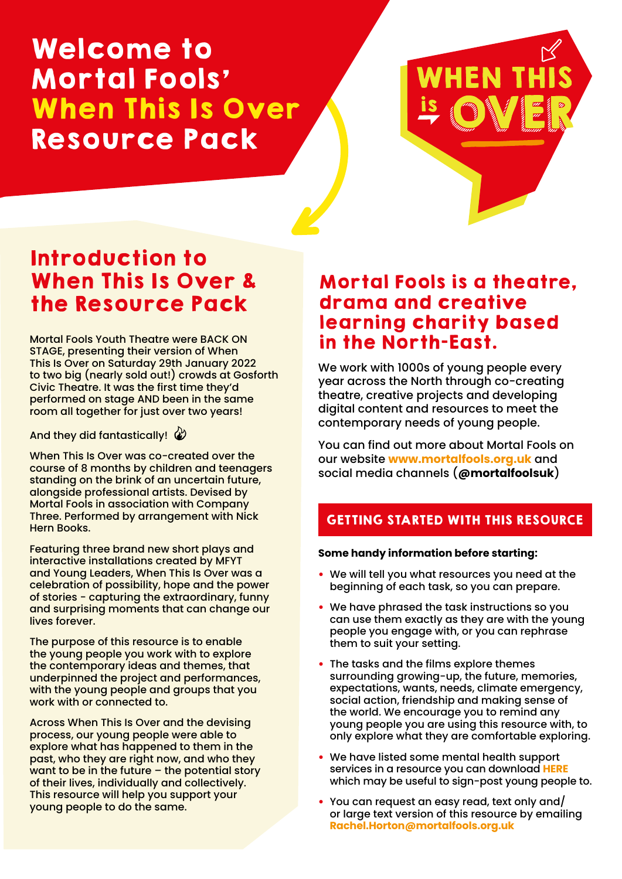# Welcome to Mortal Fools' When This Is Over Resource Pack



# Introduction to When This Is Over & the Resource Pack

Mortal Fools Youth Theatre were BACK ON STAGE, presenting their version of When This Is Over on Saturday 29th January 2022 to two big (nearly sold out!) crowds at Gosforth Civic Theatre. It was the first time they'd performed on stage AND been in the same room all together for just over two years!

And they did fantastically!  $\mathcal{Q}$ 

When This Is Over was co-created over the course of 8 months by children and teenagers standing on the brink of an uncertain future, alongside professional artists. Devised by Mortal Fools in association with Company Three. Performed by arrangement with Nick Hern Books.

Featuring three brand new short plays and interactive installations created by MFYT and Young Leaders, When This Is Over was a celebration of possibility, hope and the power of stories - capturing the extraordinary, funny and surprising moments that can change our lives forever.

The purpose of this resource is to enable the young people you work with to explore the contemporary ideas and themes, that underpinned the project and performances, with the young people and groups that you work with or connected to.

Across When This Is Over and the devising process, our young people were able to explore what has happened to them in the past, who they are right now, and who they want to be in the future – the potential story of their lives, individually and collectively. This resource will help you support your young people to do the same.

### Mortal Fools is a theatre, drama and creative learning charity based in the North-East.

We work with 1000s of young people every year across the North through co-creating theatre, creative projects and developing digital content and resources to meet the contemporary needs of young people.

You can find out more about Mortal Fools on our website **<www.mortalfools.org.uk>** and social media channels (**[@mortalfoolsuk](#page-8-0)**)

### GETTING STARTED WITH THIS RESOURCE

#### **Some handy information before starting:**

- We will tell you what resources you need at the beginning of each task, so you can prepare.
- We have phrased the task instructions so you can use them exactly as they are with the young people you engage with, or you can rephrase them to suit your setting.
- The tasks and the films explore themes surrounding growing-up, the future, memories, expectations, wants, needs, climate emergency, social action, friendship and making sense of the world. We encourage you to remind any young people you are using this resource with, to only explore what they are comfortable exploring.
- We have listed some mental health support services in a resource you can download **[HERE](https://www.mortalfools.org.uk/uploads/4/8/2/5/4825602/mf_mental_health_resource.pdf)** which may be useful to sign-post young people to.
- You can request an easy read, text only and/ or large text version of this resource by emailing **[Rachel.Horton@mortalfools.org.uk](mailto:Rachel.Horton@mortalfools.org.uk)**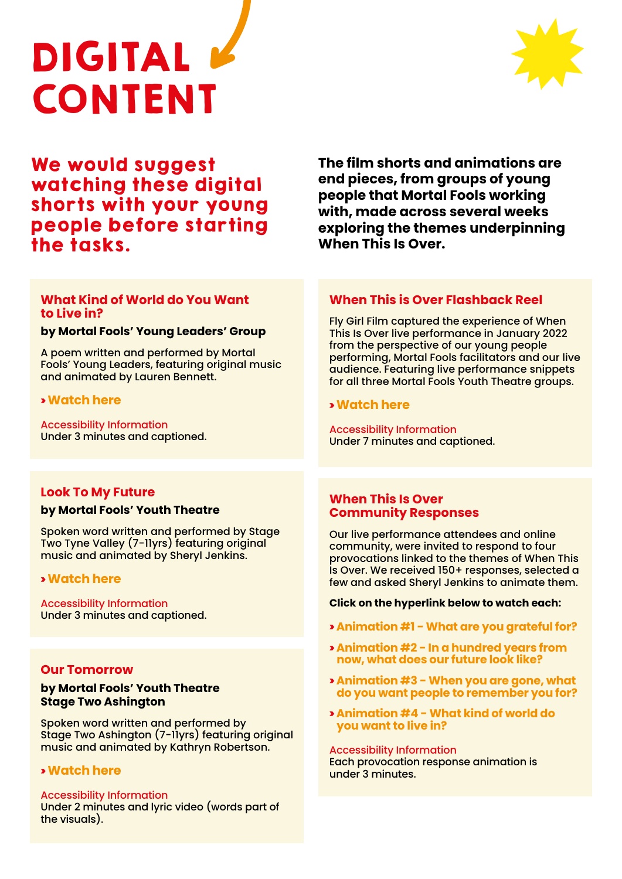



### We would suggest watching these digital shorts with your young people before starting the tasks.

**The film shorts and animations are end pieces, from groups of young people that Mortal Fools working with, made across several weeks exploring the themes underpinning When This Is Over.** 

#### **What Kind of World do You Want to Live in?**

#### **by Mortal Fools' Young Leaders' Group**

A poem written and performed by Mortal Fools' Young Leaders, featuring original music and animated by Lauren Bennett.

#### > **[Watch here](https://youtu.be/0BzTeW9WfBE)**

Accessibility Information Under 3 minutes and captioned.

#### **When This is Over Flashback Reel**

Fly Girl Film captured the experience of When This Is Over live performance in January 2022 from the perspective of our young people performing, Mortal Fools facilitators and our live audience. Featuring live performance snippets for all three Mortal Fools Youth Theatre groups.

#### > **[Watch here](https://youtu.be/1Aia935Jkw4)**

Accessibility Information Under 7 minutes and captioned.

#### **Look To My Future**

#### **by Mortal Fools' Youth Theatre**

Spoken word written and performed by Stage Two Tyne Valley (7-11yrs) featuring original music and animated by Sheryl Jenkins.

#### > **[Watch here](https://youtu.be/sgvaC_gztjE)**

Accessibility Information Under 3 minutes and captioned.

#### **Our Tomorrow**

#### **by Mortal Fools' Youth Theatre Stage Two Ashington**

Spoken word written and performed by Stage Two Ashington (7-11yrs) featuring original music and animated by Kathryn Robertson.

#### > **[Watch here](https://youtu.be/EA2_4Nw9Hgk)**

#### Accessibility Information

Under 2 minutes and lyric video (words part of the visuals).

#### **When This Is Over Community Responses**

Our live performance attendees and online community, were invited to respond to four provocations linked to the themes of When This Is Over. We received 150+ responses, selected a few and asked Sheryl Jenkins to animate them.

#### **Click on the hyperlink below to watch each:**

- > **[Animation #1 What are you grateful for?](https://youtu.be/fJ7eePxWqTU)**
- > **[Animation #2 In a hundred years from](https://youtu.be/FQIzfnePBrk) now, what does our future look like?**
- > **Animation #3 When you are gone, what [do you want people to remember you for?](https://youtu.be/0vZUjZyLhM4)**
- > **[Animation #4 What kind of world do](https://youtu.be/X2_hWTIldqE)  you want to live in?**

Accessibility Information Each provocation response animation is under 3 minutes.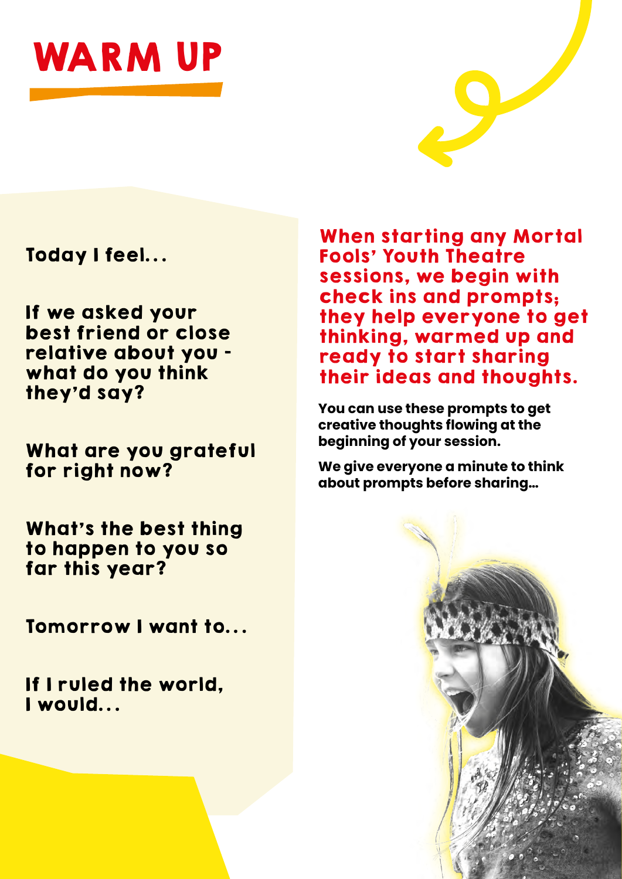



Today I feel…

If we asked your best friend or close relative about you – what do you think they'd say?

What are you grateful for right now?

What's the best thing to happen to you so far this year?

Tomorrow I want to…

If I ruled the world, I would…

When starting any Mortal Fools' Youth Theatre sessions, we begin with check ins and prompts; they help everyone to get thinking, warmed up and ready to start sharing their ideas and thoughts.

**You can use these prompts to get creative thoughts flowing at the beginning of your session.** 

**We give everyone a minute to think about prompts before sharing…**

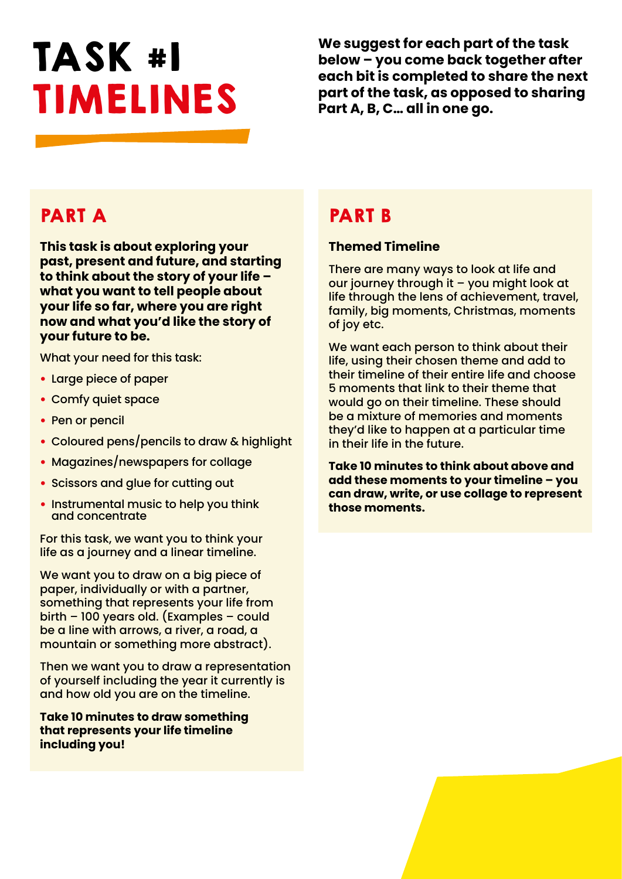# TASK #1 TIMELINES

**We suggest for each part of the task below – you come back together after each bit is completed to share the next part of the task, as opposed to sharing Part A, B, C… all in one go.** 

## PART A

**This task is about exploring your past, present and future, and starting to think about the story of your life – what you want to tell people about your life so far, where you are right now and what you'd like the story of your future to be.** 

What your need for this task:

- Large piece of paper
- Comfy quiet space
- Pen or pencil
- Coloured pens/pencils to draw & highlight
- Magazines/newspapers for collage
- Scissors and glue for cutting out
- Instrumental music to help you think and concentrate

For this task, we want you to think your life as a journey and a linear timeline.

We want you to draw on a big piece of paper, individually or with a partner, something that represents your life from birth – 100 years old. (Examples – could be a line with arrows, a river, a road, a mountain or something more abstract).

Then we want you to draw a representation of yourself including the year it currently is and how old you are on the timeline.

**Take 10 minutes to draw something that represents your life timeline including you!**

## PART B

#### **Themed Timeline**

There are many ways to look at life and our journey through it – you might look at life through the lens of achievement, travel, family, big moments, Christmas, moments of joy etc.

We want each person to think about their life, using their chosen theme and add to their timeline of their entire life and choose 5 moments that link to their theme that would go on their timeline. These should be a mixture of memories and moments they'd like to happen at a particular time in their life in the future.

**Take 10 minutes to think about above and add these moments to your timeline – you can draw, write, or use collage to represent those moments.**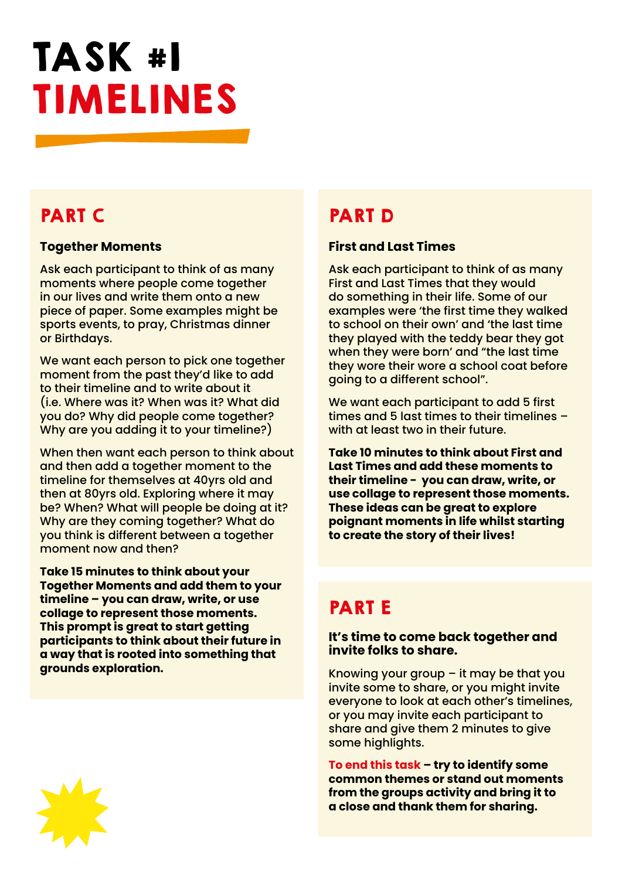# TASK #1 TIMELINES

# PART C

#### **Together Moments**

Ask each participant to think of as many moments where people come together in our lives and write them onto a new piece of paper. Some examples might be sports events, to pray, Christmas dinner or Birthdays.

We want each person to pick one together moment from the past they'd like to add to their timeline and to write about it (i.e. Where was it? When was it? What did you do? Why did people come together? Why are you adding it to your timeline?)

When then want each person to think about and then add a together moment to the timeline for themselves at 40yrs old and then at 80yrs old. Exploring where it may be? When? What will people be doing at it? Why are they coming together? What do you think is different between a together moment now and then?

**Take 15 minutes to think about your Together Moments and add them to your timeline – you can draw, write, or use collage to represent those moments. This prompt is great to start getting participants to think about their future in a way that is rooted into something that grounds exploration.** 

## PART D

#### **First and Last Times**

Ask each participant to think of as many First and Last Times that they would do something in their life. Some of our examples were 'the first time they walked to school on their own' and 'the last time they played with the teddy bear they got when they were born' and "the last time they wore their wore a school coat before going to a different school".

We want each participant to add 5 first times and 5 last times to their timelines – with at least two in their future.

**Take 10 minutes to think about First and Last Times and add these moments to their timeline - you can draw, write, or use collage to represent those moments. These ideas can be great to explore poignant moments in life whilst starting to create the story of their lives!**

# PART E

#### **It's time to come back together and invite folks to share.**

Knowing your group – it may be that you invite some to share, or you might invite everyone to look at each other's timelines, or you may invite each participant to share and give them 2 minutes to give some highlights.

**To end this task – try to identify some common themes or stand out moments from the groups activity and bring it to a close and thank them for sharing.**

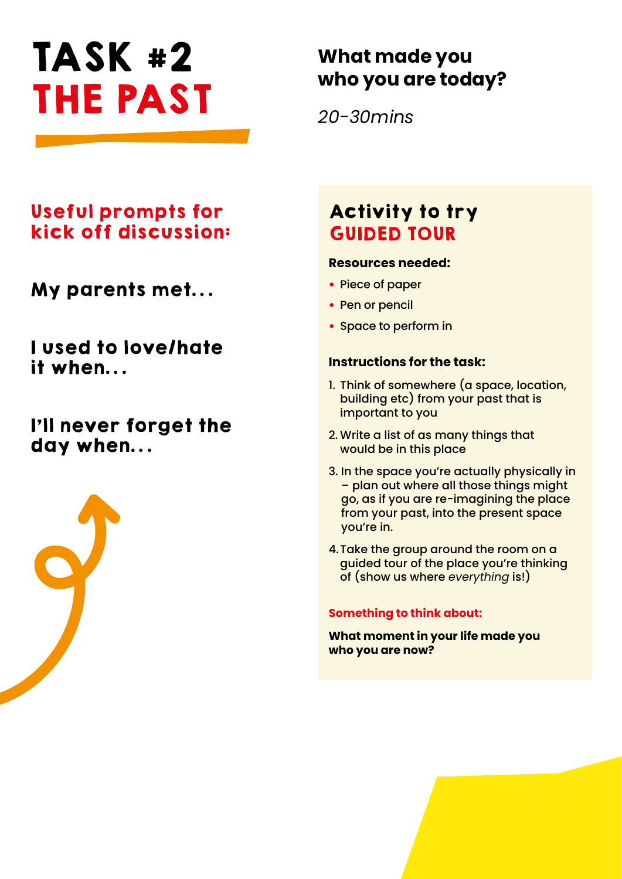# TASK #2 THE PAST

# **What made you who you are today?**

*20-30mins*

## Useful prompts for kick off discussion:

My parents met…

I used to love/hate it when…

## I'll never forget the day when…



# Activity to try GUIDED TOUR

#### **Resources needed:**

- Piece of paper
- Pen or pencil
- Space to perform in

#### **Instructions for the task:**

- 1. Think of somewhere (a space, location, building etc) from your past that is important to you
- 2. Write a list of as many things that would be in this place
- 3. In the space you're actually physically in – plan out where all those things might go, as if you are re-imagining the place from your past, into the present space you're in.
- 4.Take the group around the room on a guided tour of the place you're thinking of (show us where *everything* is!)

#### **Something to think about:**

**What moment in your life made you who you are now?**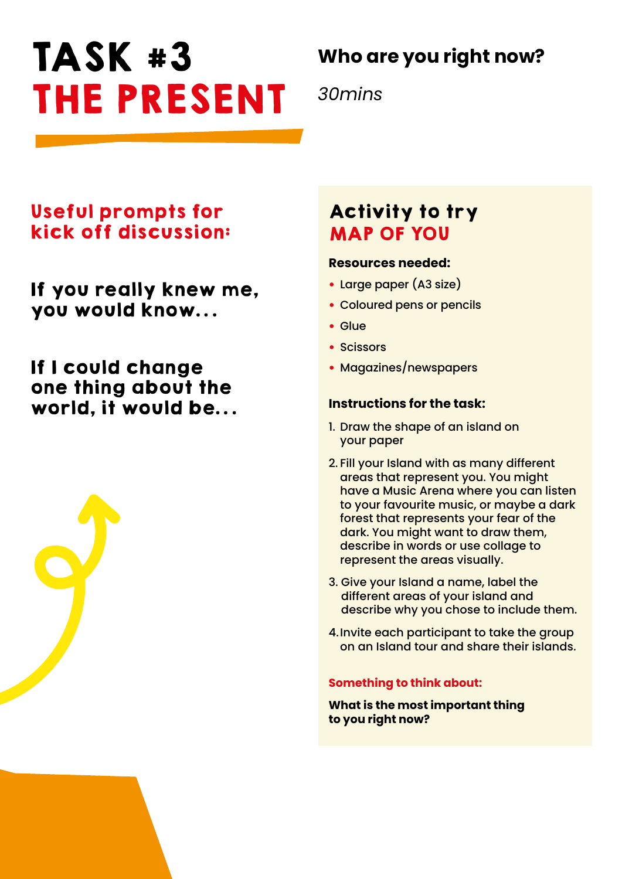# TASK #3 THE PRESENT

# **Who are you right now?**

*30mins*

### Useful prompts for kick off discussion:

If you really knew me, you would know…

If I could change one thing about the world, it would be…



#### **Resources needed:**

- Large paper (A3 size)
- Coloured pens or pencils
- Glue
- Scissors
- Magazines/newspapers

#### **Instructions for the task:**

- 1. Draw the shape of an island on your paper
- 2. Fill your Island with as many different areas that represent you. You might have a Music Arena where you can listen to your favourite music, or maybe a dark forest that represents your fear of the dark. You might want to draw them, describe in words or use collage to represent the areas visually.
- 3. Give your Island a name, label the different areas of your island and describe why you chose to include them.
- 4.Invite each participant to take the group on an Island tour and share their islands.

#### **Something to think about:**

**What is the most important thing to you right now?**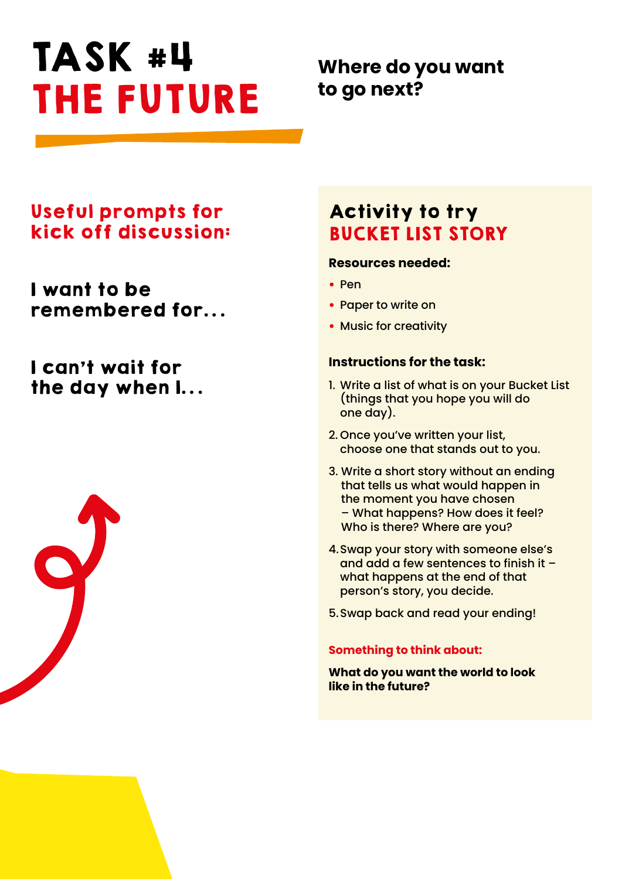# TASK #4 THE FUTURE

## **Where do you want to go next?**

### Useful prompts for kick off discussion:

I want to be remembered for…

## I can't wait for the day when I…



# Activity to try BUCKET LIST STORY

#### **Resources needed:**

- Pen
- Paper to write on
- Music for creativity

#### **Instructions for the task:**

- 1. Write a list of what is on your Bucket List (things that you hope you will do one day).
- 2. Once you've written your list, choose one that stands out to you.
- 3. Write a short story without an ending that tells us what would happen in the moment you have chosen – What happens? How does it feel? Who is there? Where are you?
- 4.Swap your story with someone else's and add a few sentences to finish it – what happens at the end of that person's story, you decide.
- 5.Swap back and read your ending!

#### **Something to think about:**

**What do you want the world to look like in the future?**